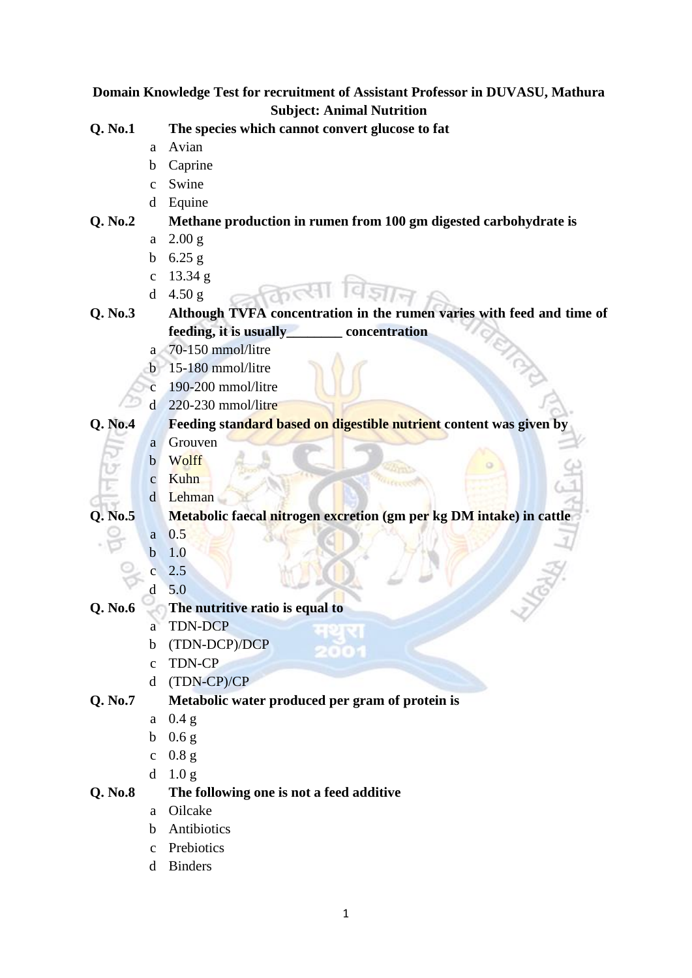**Domain Knowledge Test for recruitment of Assistant Professor in DUVASU, Mathura Subject: Animal Nutrition Q. No.1 The species which cannot convert glucose to fat**  a Avian b Caprine c Swine d Equine **Q. No.2 Methane production in rumen from 100 gm digested carbohydrate is** a 2.00 g b  $6.25 g$ c 13.34 g d 4.50 g **Q. No.3 Although TVFA concentration in the rumen varies with feed and time of feeding, it is usually\_\_\_\_\_\_\_\_ concentration** a 70-150 mmol/litre b 15-180 mmol/litre c 190-200 mmol/litre d 220-230 mmol/litre **Q. No.4 Feeding standard based on digestible nutrient content was given by** a Grouven b Wolff c Kuhn d Lehman **Q. No.5 Metabolic faecal nitrogen excretion (gm per kg DM intake) in cattle** a 0.5 b 1.0 c 2.5 d 5.0 **Q. No.6 The nutritive ratio is equal to**  a TDN-DCP b (TDN-DCP)/DCP c TDN-CP d (TDN-CP)/CP **Q. No.7 Metabolic water produced per gram of protein is**  a 0.4 g b 0.6 g c 0.8 g d 1.0 g **Q. No.8 The following one is not a feed additive** a Oilcake b Antibiotics c Prebiotics

d Binders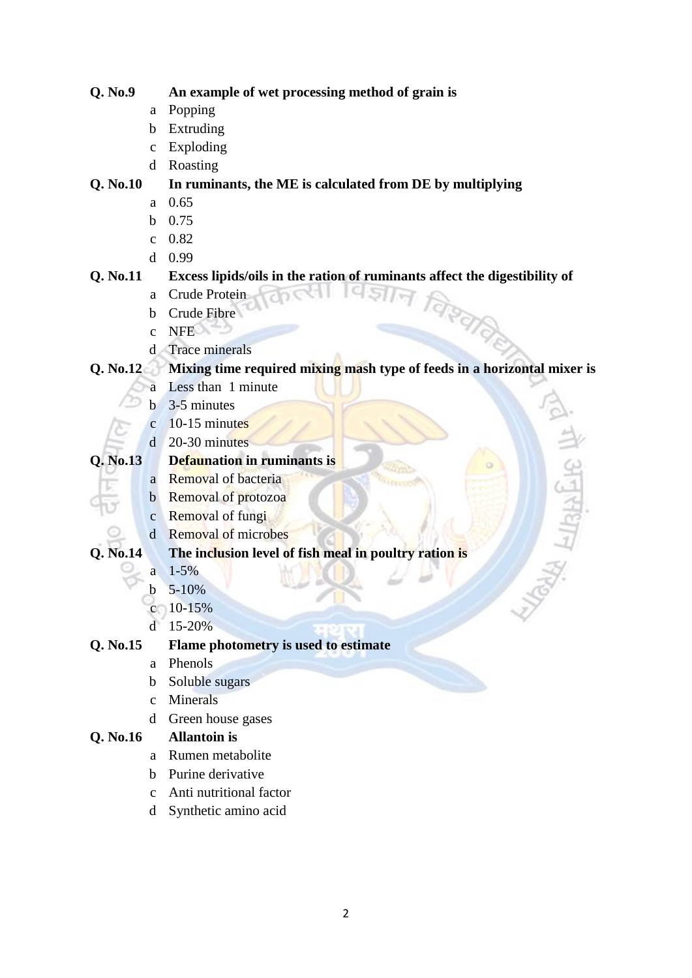### **Q. No.9 An example of wet processing method of grain is**

- a Popping
- b Extruding
- c Exploding
- d Roasting

# **Q. No.10 In ruminants, the ME is calculated from DE by multiplying**

- a 0.65
- b 0.75
- c 0.82
- d 0.99

# **Q. No.11 Excess lipids/oils in the ration of ruminants affect the digestibility of**

- a Crude Protein
- b Crude Fibre
- c NFE
- d Trace minerals

# **Q. No.12 Mixing time required mixing mash type of feeds in a horizontal mixer is**

 $19517$ 

- a Less than 1 minute
- b 3-5 minutes
- c 10-15 minutes
- d 20-30 minutes

# **Q. No.13 Defaunation in ruminants is**

- a Removal of bacteria
- b Removal of protozoa
- c Removal of fungi
- d Removal of microbes

# **Q. No.14 The inclusion level of fish meal in poultry ration is**

- $a \quad 1 5\%$
- b  $5-10%$
- $c = 10-15%$
- d 15-20%

### **Q. No.15 Flame photometry is used to estimate**

- a Phenols
- b Soluble sugars
- c Minerals
- d Green house gases

# **Q. No.16 Allantoin is**

- a Rumen metabolite
- b Purine derivative
- c Anti nutritional factor
- d Synthetic amino acid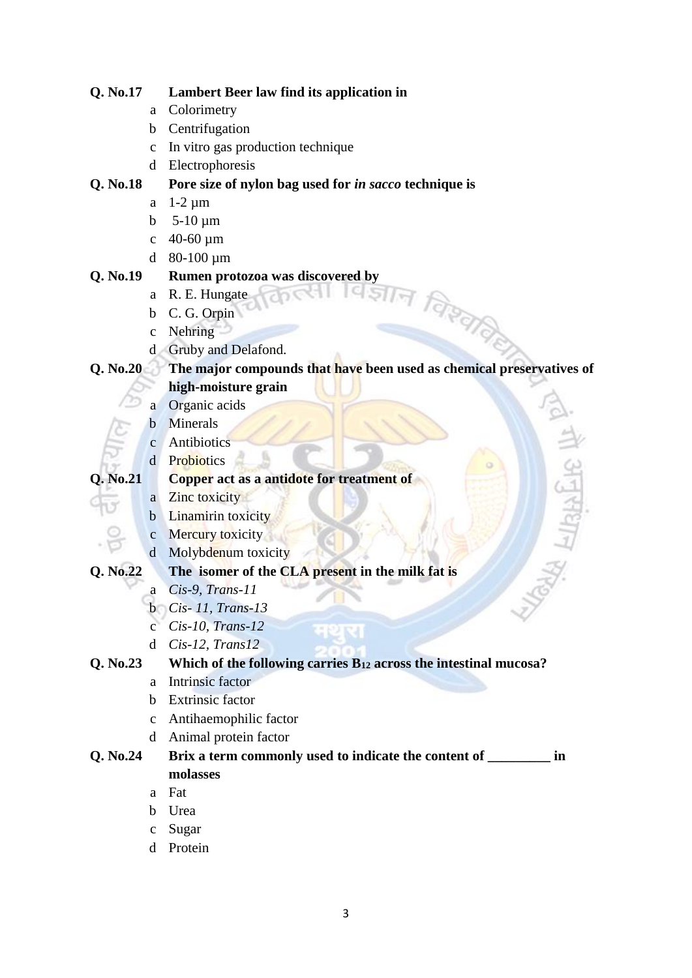### **Q. No.17 Lambert Beer law find its application in**

- a Colorimetry
- b Centrifugation
- c In vitro gas production technique
- d Electrophoresis

### **Q. No.18 Pore size of nylon bag used for** *in sacco* **technique is**

- a 1-2 µm
- b  $5-10 \mu m$
- c  $40-60 \mu m$
- d 80-100 µm

# **Q. No.19 Rumen protozoa was discovered by**

- a R. E. Hungate
- b C. G. Orpin
- c Nehring
- d Gruby and Delafond.

# **Q. No.20 The major compounds that have been used as chemical preservatives of high-moisture grain**

विश्व

- a Organic acids
- b Minerals
- c Antibiotics
- d Probiotics

### **Q. No.21 Copper act as a antidote for treatment of**

- a Zinc toxicity
- **b** Linamirin toxicity
- c Mercury toxicity
- d Molybdenum toxicity

- **Q. No.22 The isomer of the CLA present in the milk fat is** a *Cis-9, Trans-11*
	- b *Cis- 11, Trans-13*
	-
	- c *Cis-10, Trans-12*
	- d *Cis-12, Trans12*

# **Q. No.23 Which of the following carries B<sup>12</sup> across the intestinal mucosa?**

- a Intrinsic factor
- b Extrinsic factor
- c Antihaemophilic factor
- d Animal protein factor

# **Q. No.24 Brix a term commonly used to indicate the content of \_\_\_\_\_\_\_\_\_ in molasses**

- a Fat
- b Urea
- c Sugar
- d Protein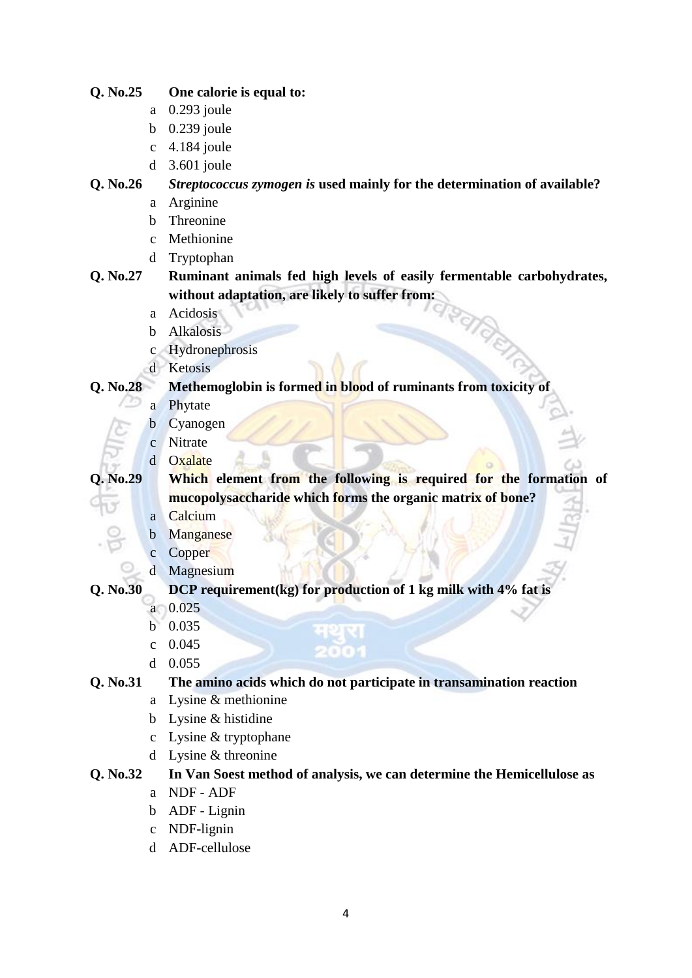### **Q. No.25 One calorie is equal to:**

- a 0.293 joule
- b 0.239 joule
- c 4.184 joule
- d 3.601 joule

### **Q. No.26** *Streptococcus zymogen is* **used mainly for the determination of available?**

- a Arginine
- b Threonine
- c Methionine
- d Tryptophan

# **Q. No.27 Ruminant animals fed high levels of easily fermentable carbohydrates, without adaptation, are likely to suffer from:**

- a Acidosis
- b Alkalosis
- c Hydronephrosis
- d Ketosis

### **Q. No.28 Methemoglobin is formed in blood of ruminants from toxicity of**

- a Phytate
- b Cyanogen
- c Nitrate
- d Oxalate

**Q. No.29 Which element from the following is required for the formation of mucopolysaccharide which forms the organic matrix of bone?**

- a Calcium
- b Manganese
- c Copper
- d Magnesium

### **Q. No.30 DCP requirement(kg) for production of 1 kg milk with 4% fat is**

- a 0.025
- b 0.035
- c 0.045
- d 0.055

### **Q. No.31 The amino acids which do not participate in transamination reaction**

- a Lysine & methionine
- b Lysine & histidine
- c Lysine & tryptophane
- d Lysine & threonine

### **Q. No.32 In Van Soest method of analysis, we can determine the Hemicellulose as**

- a NDF ADF
- b ADF Lignin
- c NDF-lignin
- d ADF-cellulose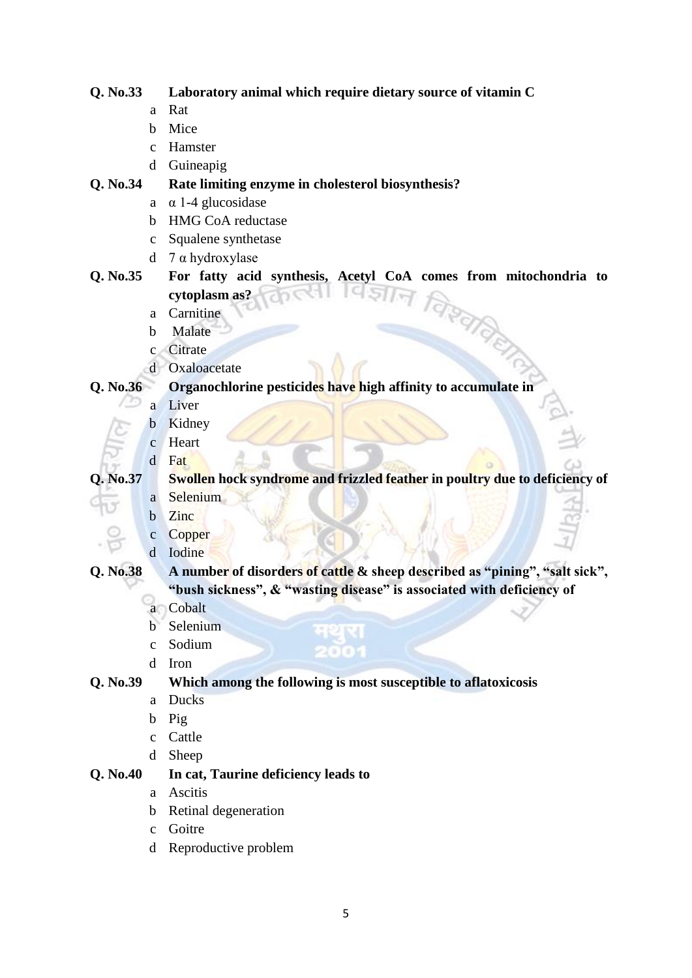### **Q. No.33 Laboratory animal which require dietary source of vitamin C**

- a Rat
- b Mice
- c Hamster
- d Guineapig

### **Q. No.34 Rate limiting enzyme in cholesterol biosynthesis?**

- a α 1-4 glucosidase
- b HMG CoA reductase
- c Squalene synthetase
- d 7 α hydroxylase

# **Q. No.35 For fatty acid synthesis, Acetyl CoA comes from mitochondria to cytoplasm as?**

- a Carnitine
- b Malate
- c Citrate
- d Oxaloacetate

# **Q. No.36 Organochlorine pesticides have high affinity to accumulate in**

- a Liver
- b Kidney
- c Heart d Fat

### **Q. No.37 Swollen hock syndrome and frizzled feather in poultry due to deficiency of** a Selenium

- 
- b Zinc
- c Copper
- d Iodine

# **Q. No.38 A number of disorders of cattle & sheep described as "pining", "salt sick", "bush sickness", & "wasting disease" is associated with deficiency of**

- a Cobalt
- b Selenium
- c Sodium
- d Iron

# **Q. No.39 Which among the following is most susceptible to aflatoxicosis**

मथस 220

- a Ducks
- b Pig
- c Cattle
- d Sheep

# **Q. No.40 In cat, Taurine deficiency leads to**

- a Ascitis
- b Retinal degeneration
- c Goitre
- d Reproductive problem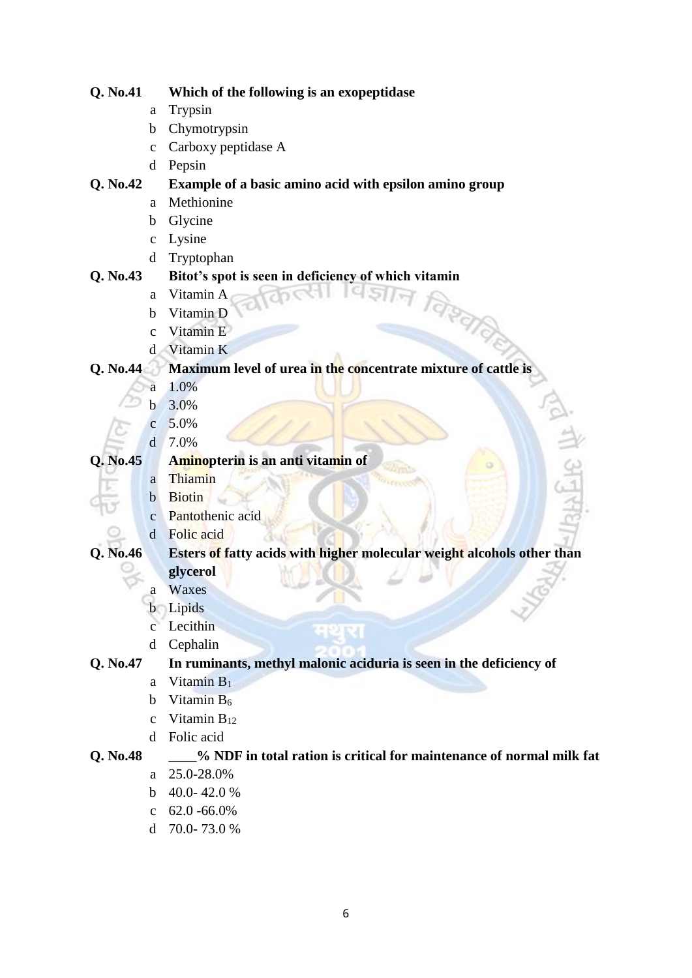| Q. No.41 |              | Which of the following is an exopeptidase                              |  |  |  |
|----------|--------------|------------------------------------------------------------------------|--|--|--|
|          | a            | Trypsin                                                                |  |  |  |
|          | b            | Chymotrypsin                                                           |  |  |  |
|          | $\mathbf C$  | Carboxy peptidase A                                                    |  |  |  |
|          | d            | Pepsin                                                                 |  |  |  |
| Q. No.42 |              | Example of a basic amino acid with epsilon amino group                 |  |  |  |
|          | a            | Methionine                                                             |  |  |  |
|          | b            | Glycine                                                                |  |  |  |
|          | $\mathbf c$  | Lysine                                                                 |  |  |  |
|          | d            | Tryptophan                                                             |  |  |  |
| Q. No.43 |              | Bitot's spot is seen in deficiency of which vitamin                    |  |  |  |
|          | a            | Vitamin A                                                              |  |  |  |
|          | b            | Vitamin D                                                              |  |  |  |
|          | $\ddot{c}$   | Vitamin E                                                              |  |  |  |
|          | $\mathbf d$  | Vitamin K                                                              |  |  |  |
| Q. No.44 |              | Maximum level of urea in the concentrate mixture of cattle is          |  |  |  |
|          | а            | 1.0%                                                                   |  |  |  |
|          | b            | 3.0%                                                                   |  |  |  |
|          | $\mathbf{C}$ | 5.0%                                                                   |  |  |  |
|          | $\mathbf{d}$ | 7.0%                                                                   |  |  |  |
| Q. No.45 |              | Aminopterin is an anti vitamin of                                      |  |  |  |
|          | a            | Thiamin                                                                |  |  |  |
|          | $\mathbf b$  | <b>Biotin</b>                                                          |  |  |  |
|          | $\mathbf{C}$ | Pantothenic acid                                                       |  |  |  |
|          | $\mathbf d$  | Folic acid                                                             |  |  |  |
| Q. No.46 |              | Esters of fatty acids with higher molecular weight alcohols other than |  |  |  |
|          |              | glycerol                                                               |  |  |  |
|          | а            | Waxes                                                                  |  |  |  |
|          |              | <b>b</b> Lipids                                                        |  |  |  |
|          | $\mathbf{C}$ | Lecithin                                                               |  |  |  |
|          | d            | Cephalin                                                               |  |  |  |
| Q. No.47 |              | In ruminants, methyl malonic aciduria is seen in the deficiency of     |  |  |  |
|          | a            | Vitamin $B_1$                                                          |  |  |  |
|          | b            | Vitamin B <sub>6</sub>                                                 |  |  |  |
|          | $\mathbf{C}$ | Vitamin $B_{12}$                                                       |  |  |  |
|          | <sub>d</sub> | Folic acid                                                             |  |  |  |
| Q. No.48 |              | % NDF in total ration is critical for maintenance of normal milk fat   |  |  |  |
|          | a            | 25.0-28.0%                                                             |  |  |  |
|          | b.           | 40.0-42.0%                                                             |  |  |  |
|          | $\mathbf{C}$ | $62.0 - 66.0\%$                                                        |  |  |  |

- 
- d 70.0- 73.0 %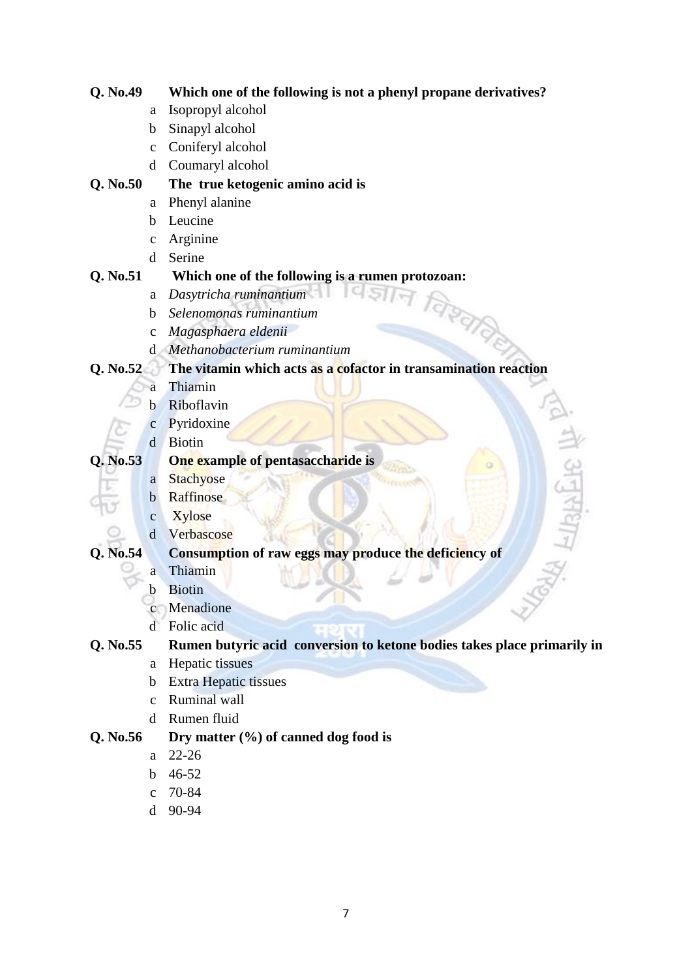| Q. No.49 |              | Which one of the following is not a phenyl propane derivatives?         |
|----------|--------------|-------------------------------------------------------------------------|
|          | a            | Isopropyl alcohol                                                       |
|          | $\mathbf b$  | Sinapyl alcohol                                                         |
|          | $\mathbf{C}$ | Coniferyl alcohol                                                       |
|          | $\mathbf d$  | Coumaryl alcohol                                                        |
| Q. No.50 |              | The true ketogenic amino acid is                                        |
|          | a            | Phenyl alanine                                                          |
|          | b            | Leucine                                                                 |
|          | $\mathbf c$  | Arginine                                                                |
|          | d            | Serine                                                                  |
| Q. No.51 |              | Which one of the following is a rumen protozoan:                        |
|          | a            | Dasytricha ruminantium                                                  |
|          | b            | Selenomonas ruminantium                                                 |
|          | $\mathbf{C}$ | Magasphaera eldenii                                                     |
|          | <sub>d</sub> | Methanobacterium ruminantium                                            |
| Q. No.52 |              | The vitamin which acts as a cofactor in transamination reaction         |
|          | a            | Thiamin                                                                 |
|          | b            | Riboflavin                                                              |
|          | $\mathbf{C}$ | Pyridoxine                                                              |
|          | d            | <b>Biotin</b>                                                           |
| Q. No.53 |              | One example of pentasaccharide is                                       |
|          | a            | Stachyose                                                               |
|          | $\mathbf b$  | Raffinose                                                               |
|          | $\mathbf c$  | <b>Xylose</b>                                                           |
|          | $\mathbf d$  | Verbascose                                                              |
| Q. No.54 |              | Consumption of raw eggs may produce the deficiency of                   |
|          | а            | Thiamin                                                                 |
|          | b            | <b>Biotin</b>                                                           |
|          |              | Menadione                                                               |
|          | d            | Folic acid                                                              |
| Q. No.55 |              | Rumen butyric acid conversion to ketone bodies takes place primarily in |
|          | a            | Hepatic tissues                                                         |
|          | b            | <b>Extra Hepatic tissues</b>                                            |
|          | $\mathbf{C}$ | Ruminal wall                                                            |
|          | d            | Rumen fluid                                                             |
| Q. No.56 |              | Dry matter $(\%)$ of canned dog food is                                 |
|          | a            | $22 - 26$                                                               |
|          | b            | 46-52                                                                   |
|          | $\mathbf{C}$ | 70-84                                                                   |
|          | d            | 90-94                                                                   |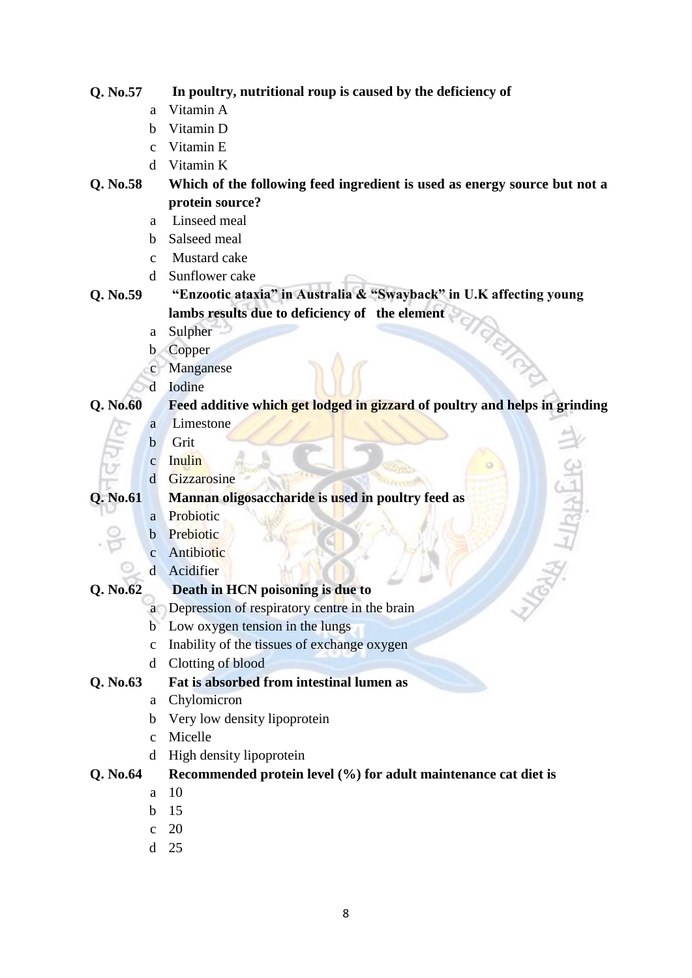| Q. No.57 |              | In poultry, nutritional roup is caused by the deficiency of                |  |  |  |  |
|----------|--------------|----------------------------------------------------------------------------|--|--|--|--|
|          | a            | Vitamin A                                                                  |  |  |  |  |
|          | b            | Vitamin D                                                                  |  |  |  |  |
|          | $\mathbf{C}$ | Vitamin E                                                                  |  |  |  |  |
|          | d            | Vitamin K                                                                  |  |  |  |  |
| Q. No.58 |              | Which of the following feed ingredient is used as energy source but not a  |  |  |  |  |
|          |              | protein source?                                                            |  |  |  |  |
|          | a            | Linseed meal                                                               |  |  |  |  |
|          | b            | Salseed meal                                                               |  |  |  |  |
|          | $\mathbf{C}$ | Mustard cake                                                               |  |  |  |  |
|          | d            | Sunflower cake                                                             |  |  |  |  |
| Q. No.59 |              | "Enzootic ataxia" in Australia & "Swayback" in U.K affecting young         |  |  |  |  |
|          |              | lambs results due to deficiency of the element                             |  |  |  |  |
|          | a            | Sulpher                                                                    |  |  |  |  |
|          | $\mathbf b$  | Copper                                                                     |  |  |  |  |
|          | $\mathbf c$  | Manganese                                                                  |  |  |  |  |
|          | d            | Iodine                                                                     |  |  |  |  |
| Q. No.60 |              | Feed additive which get lodged in gizzard of poultry and helps in grinding |  |  |  |  |
|          | a            | Limestone                                                                  |  |  |  |  |
|          | $\mathbf b$  | Grit                                                                       |  |  |  |  |
|          | $\mathbf c$  | Inulin                                                                     |  |  |  |  |
|          | $\mathbf d$  | Gizzarosine                                                                |  |  |  |  |
| Q. No.61 |              | <b>AHISTER</b><br>Mannan oligosaccharide is used in poultry feed as        |  |  |  |  |
|          | a            | Probiotic                                                                  |  |  |  |  |
|          | $\mathbf b$  | Prebiotic                                                                  |  |  |  |  |
|          | $\mathbf c$  | Antibiotic                                                                 |  |  |  |  |
|          | d            | Acidifier                                                                  |  |  |  |  |
| Q. No.62 |              | Death in HCN poisoning is due to                                           |  |  |  |  |
|          |              | a Depression of respiratory centre in the brain                            |  |  |  |  |
|          | $b^-$        | Low oxygen tension in the lungs                                            |  |  |  |  |
|          | $\mathbf c$  | Inability of the tissues of exchange oxygen                                |  |  |  |  |
|          | d            | Clotting of blood                                                          |  |  |  |  |
| Q. No.63 |              | Fat is absorbed from intestinal lumen as                                   |  |  |  |  |
|          |              | a Chylomicron                                                              |  |  |  |  |
|          | $\mathbf b$  | Very low density lipoprotein                                               |  |  |  |  |
|          | $\mathbf{C}$ | Micelle                                                                    |  |  |  |  |
|          |              | d High density lipoprotein                                                 |  |  |  |  |
| Q. No.64 |              | Recommended protein level (%) for adult maintenance cat diet is            |  |  |  |  |
|          | a            | 10                                                                         |  |  |  |  |
|          |              | $b$ 15                                                                     |  |  |  |  |

- c 20
- d 25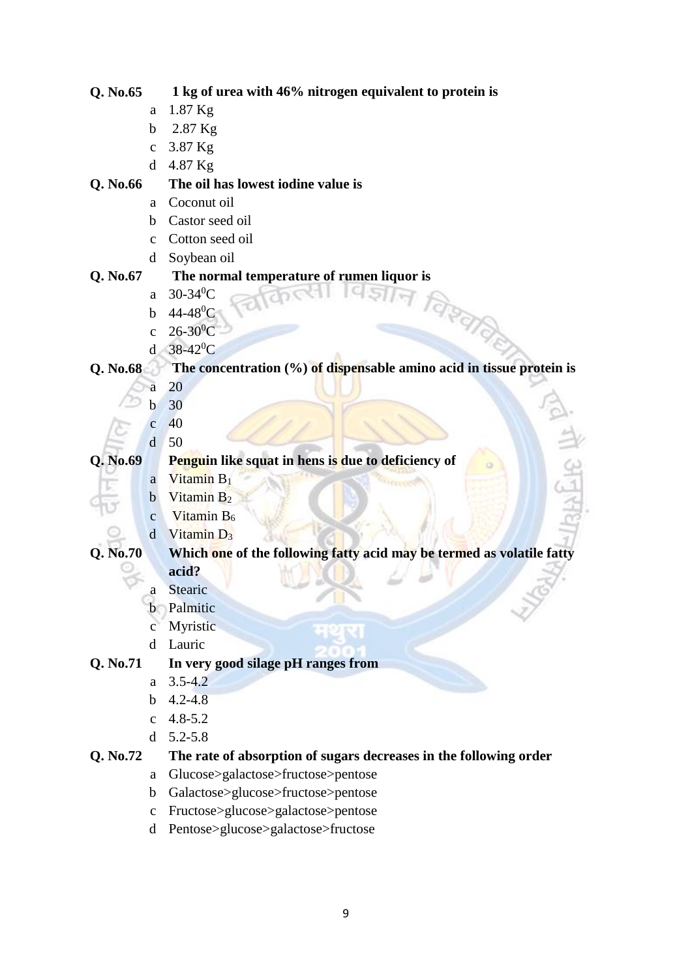|          | a            | 1.87 Kg                                                                 |  |  |  |
|----------|--------------|-------------------------------------------------------------------------|--|--|--|
|          | $\mathbf b$  | 2.87 Kg                                                                 |  |  |  |
|          | $\mathbf{C}$ | 3.87 Kg                                                                 |  |  |  |
|          | d            | 4.87 Kg                                                                 |  |  |  |
| Q. No.66 |              | The oil has lowest iodine value is                                      |  |  |  |
|          | a            | Coconut oil                                                             |  |  |  |
|          | $\mathbf b$  | Castor seed oil                                                         |  |  |  |
|          | $\mathbf{C}$ | Cotton seed oil                                                         |  |  |  |
|          | d            | Soybean oil                                                             |  |  |  |
| Q. No.67 |              | The normal temperature of rumen liquor is                               |  |  |  |
|          | a            | $30 - 34$ <sup>0</sup> C                                                |  |  |  |
|          | $\mathbf b$  | $44 - 48^0C$                                                            |  |  |  |
|          | $\mathbf{C}$ | वे इता ले <sub>ह</sub><br>$26-30$ <sup>0</sup> C                        |  |  |  |
|          | $\mathbf d$  | $38-42$ <sup>o</sup> C                                                  |  |  |  |
| Q. No.68 |              | The concentration $(\%)$ of dispensable amino acid in tissue protein is |  |  |  |
|          | а            | 20                                                                      |  |  |  |
|          | h            | 30                                                                      |  |  |  |
|          | $\mathbf{C}$ | 40                                                                      |  |  |  |
|          | d            | 50                                                                      |  |  |  |
| Q. No.69 |              | Penguin like squat in hens is due to deficiency of                      |  |  |  |
|          | a            | Vitamin B <sub>1</sub>                                                  |  |  |  |
|          | $\mathbf b$  | Vitamin B <sub>2</sub>                                                  |  |  |  |
|          | $\mathbf{C}$ | Vitamin B <sub>6</sub>                                                  |  |  |  |
|          | $\mathbf d$  | Vitamin D <sub>3</sub>                                                  |  |  |  |
| Q. No.70 |              | Which one of the following fatty acid may be termed as volatile fatty   |  |  |  |
|          |              | acid?                                                                   |  |  |  |
|          | а            | <b>Stearic</b>                                                          |  |  |  |
|          | b            | Palmitic                                                                |  |  |  |
|          |              | Myristic                                                                |  |  |  |
|          | d            | Lauric                                                                  |  |  |  |
| Q. No.71 |              | In very good silage pH ranges from                                      |  |  |  |
|          | a            | $3.5 - 4.2$                                                             |  |  |  |
|          | $\mathbf b$  | $4.2 - 4.8$                                                             |  |  |  |
|          |              | c $4.8 - 5.2$                                                           |  |  |  |

**Q. No.65 1 kg of urea with 46% nitrogen equivalent to protein is** 

- d 5.2-5.8
- **Q. No.72 The rate of absorption of sugars decreases in the following order**
	- a Glucose>galactose>fructose>pentose
	- b Galactose>glucose>fructose>pentose
	- c Fructose>glucose>galactose>pentose
	- d Pentose>glucose>galactose>fructose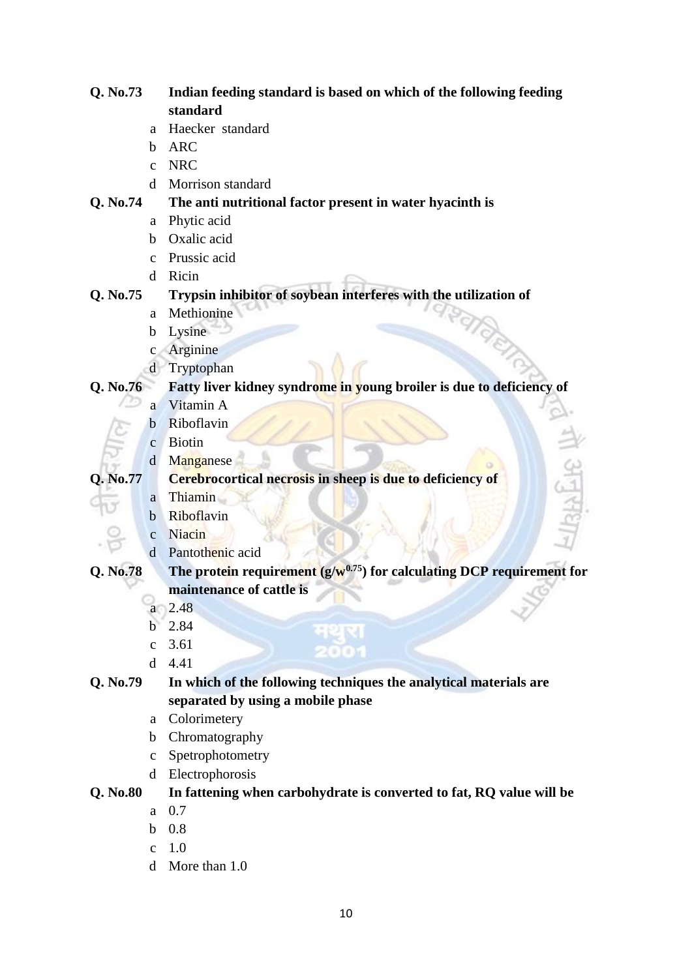| Q. No.73 |                | Indian feeding standard is based on which of the following feeding         |
|----------|----------------|----------------------------------------------------------------------------|
|          |                | standard                                                                   |
|          | a              | Haecker standard                                                           |
|          | b              | <b>ARC</b>                                                                 |
|          | $\mathbf{C}$   | <b>NRC</b>                                                                 |
|          | <sub>d</sub>   | Morrison standard                                                          |
| Q. No.74 |                | The anti nutritional factor present in water hyacinth is                   |
|          | a              | Phytic acid                                                                |
|          | b              | Oxalic acid                                                                |
|          | $\mathbf{C}$   | Prussic acid                                                               |
|          | d              | Ricin                                                                      |
| Q. No.75 |                | Trypsin inhibitor of soybean interferes with the utilization of            |
|          | a              | Methionine                                                                 |
|          | $\mathbf b$    | Lysine                                                                     |
|          | $\mathbf{c}$   | Arginine                                                                   |
|          | d              | Tryptophan                                                                 |
| Q. No.76 |                | Fatty liver kidney syndrome in young broiler is due to deficiency of       |
|          | a              | Vitamin A                                                                  |
|          | b              | Riboflavin                                                                 |
|          | $\mathbf{C}$   | <b>Biotin</b>                                                              |
|          | $\mathbf d$    | $\frac{1}{2}$<br>Manganese                                                 |
| Q. No.77 |                | Cerebrocortical necrosis in sheep is due to deficiency of                  |
|          | a              | 山全<br><b>Thiamin</b>                                                       |
|          | $\mathbf b$    | Riboflavin                                                                 |
|          | $\overline{c}$ | Niacin                                                                     |
|          | d              | Pantothenic acid                                                           |
| Q. No.78 |                | The protein requirement $(g/w^{0.75})$ for calculating DCP requirement for |
|          |                | maintenance of cattle is                                                   |
|          | a              | 2.48                                                                       |
|          | $\mathbf b$    | 2.84                                                                       |
|          | $\mathbf{C}$   | मथुरा<br>3.61                                                              |
|          | d              | 2007<br>4.41                                                               |
| Q. No.79 |                | In which of the following techniques the analytical materials are          |
|          |                | separated by using a mobile phase                                          |
|          | a              | Colorimetery                                                               |
|          | $\mathbf b$    | Chromatography                                                             |
|          | $\mathbf{C}$   | Spetrophotometry                                                           |
|          | d              | Electrophorosis                                                            |
| Q. No.80 |                | In fattening when carbohydrate is converted to fat, RQ value will be       |
|          | a              | 0.7                                                                        |
|          | b              | 0.8                                                                        |
|          | $\mathbf{C}$   | 1.0                                                                        |
|          | d              | More than 1.0                                                              |
|          |                |                                                                            |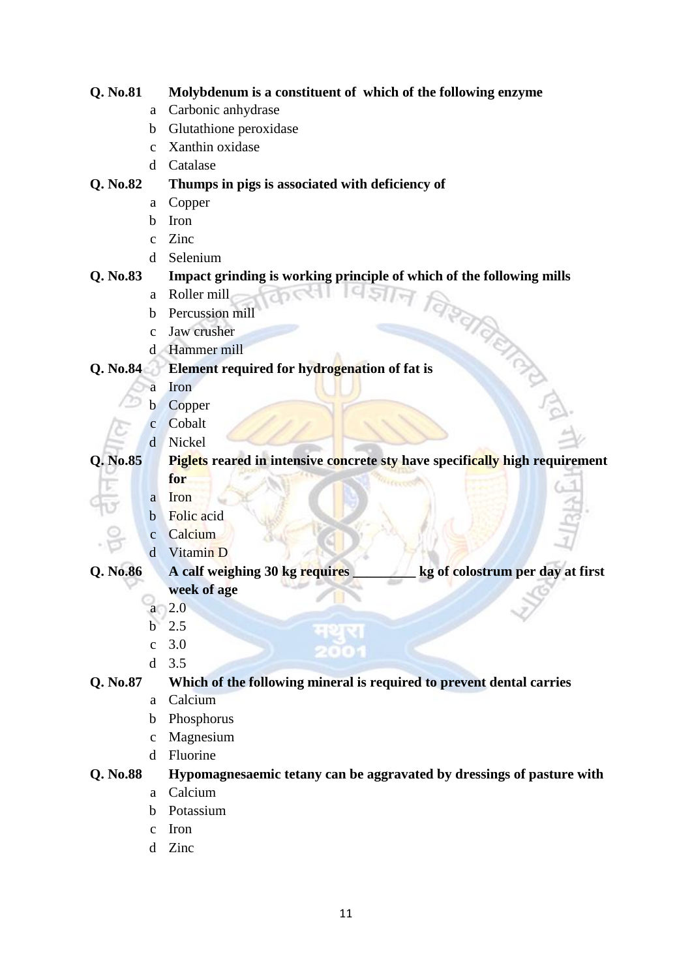| Q. No.81 |              | Molybdenum is a constituent of which of the following enzyme                |  |  |  |  |  |
|----------|--------------|-----------------------------------------------------------------------------|--|--|--|--|--|
|          | a            | Carbonic anhydrase                                                          |  |  |  |  |  |
|          | b            | Glutathione peroxidase                                                      |  |  |  |  |  |
|          | $\mathbf{C}$ | Xanthin oxidase                                                             |  |  |  |  |  |
|          | d            | Catalase                                                                    |  |  |  |  |  |
| Q. No.82 |              | Thumps in pigs is associated with deficiency of                             |  |  |  |  |  |
|          | a            | Copper                                                                      |  |  |  |  |  |
|          | b            | Iron                                                                        |  |  |  |  |  |
|          | $\mathbf c$  | Zinc                                                                        |  |  |  |  |  |
|          | d            | Selenium                                                                    |  |  |  |  |  |
| Q. No.83 |              | Impact grinding is working principle of which of the following mills        |  |  |  |  |  |
|          | a            | Roller mill                                                                 |  |  |  |  |  |
|          | b            | Percussion mill                                                             |  |  |  |  |  |
|          | $\mathbf{C}$ | Jaw crusher                                                                 |  |  |  |  |  |
|          | d.           | Hammer mill                                                                 |  |  |  |  |  |
| Q. No.84 |              | <b>RATIONA</b><br>Element required for hydrogenation of fat is              |  |  |  |  |  |
|          | а            | Iron                                                                        |  |  |  |  |  |
|          | b            | Copper                                                                      |  |  |  |  |  |
|          | $\mathbf{C}$ | Cobalt                                                                      |  |  |  |  |  |
|          | d            | Nickel                                                                      |  |  |  |  |  |
| Q. No.85 |              | Piglets reared in intensive concrete sty have specifically high requirement |  |  |  |  |  |
|          |              | for                                                                         |  |  |  |  |  |
|          | a            | Iron                                                                        |  |  |  |  |  |
|          | $\mathbf b$  | Folic acid                                                                  |  |  |  |  |  |
|          | $\mathbf c$  | Calcium                                                                     |  |  |  |  |  |
|          | $\mathbf d$  | Vitamin D                                                                   |  |  |  |  |  |
| Q. No.86 |              | kg of colostrum per day at first<br>A calf weighing 30 kg requires          |  |  |  |  |  |
|          |              | week of age                                                                 |  |  |  |  |  |
|          | a            | 2.0                                                                         |  |  |  |  |  |
|          | $\mathbf b$  | 2.5                                                                         |  |  |  |  |  |
|          | $\mathbf{C}$ | 3.0                                                                         |  |  |  |  |  |
|          | $\mathbf d$  | 3.5                                                                         |  |  |  |  |  |
| Q. No.87 |              | Which of the following mineral is required to prevent dental carries        |  |  |  |  |  |
|          | a            | Calcium                                                                     |  |  |  |  |  |
|          | b            | Phosphorus                                                                  |  |  |  |  |  |
|          | $\mathbf c$  | Magnesium                                                                   |  |  |  |  |  |
|          | d            | Fluorine                                                                    |  |  |  |  |  |
| Q. No.88 |              | Hypomagnesaemic tetany can be aggravated by dressings of pasture with       |  |  |  |  |  |
|          | a            | Calcium                                                                     |  |  |  |  |  |
|          | b            | Potassium                                                                   |  |  |  |  |  |
|          | $\mathbf c$  | Iron                                                                        |  |  |  |  |  |
|          | d            | Zinc                                                                        |  |  |  |  |  |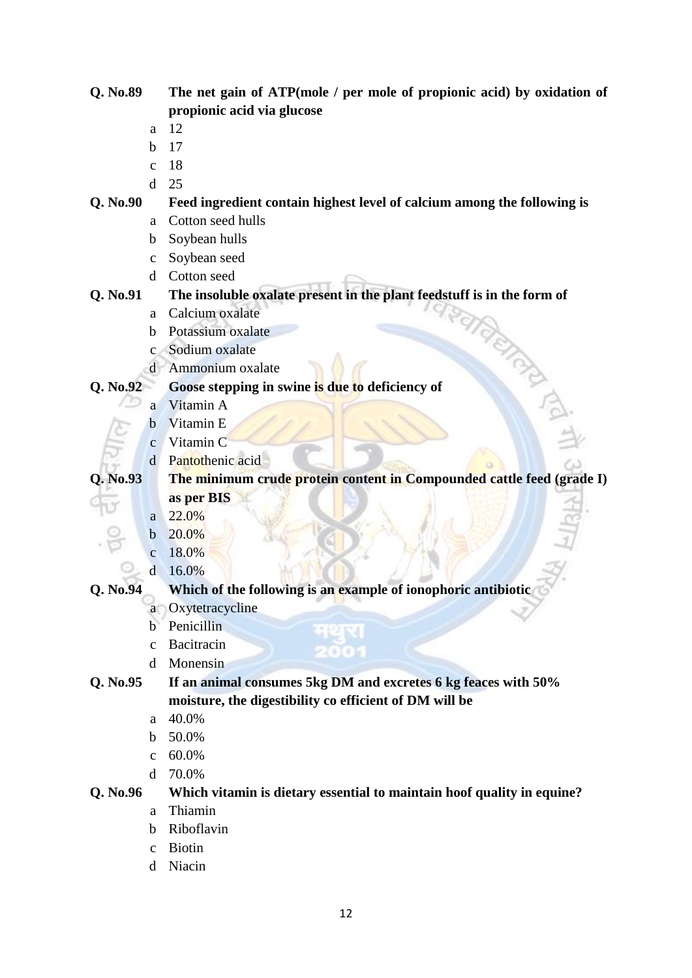| Q. No.89                | The net gain of ATP(mole / per mole of propionic acid) by oxidation of  |  |  |  |  |
|-------------------------|-------------------------------------------------------------------------|--|--|--|--|
|                         | propionic acid via glucose                                              |  |  |  |  |
| a                       | 12                                                                      |  |  |  |  |
| $\mathbf b$             | 17                                                                      |  |  |  |  |
| $\mathbf{C}$            | 18                                                                      |  |  |  |  |
| $\mathbf d$             | 25                                                                      |  |  |  |  |
| Q. No.90                | Feed ingredient contain highest level of calcium among the following is |  |  |  |  |
| a                       | Cotton seed hulls                                                       |  |  |  |  |
| $\mathbf b$             | Soybean hulls                                                           |  |  |  |  |
| $\mathbf C$             | Soybean seed                                                            |  |  |  |  |
| d                       | Cotton seed                                                             |  |  |  |  |
| Q. No.91                | The insoluble oxalate present in the plant feedstuff is in the form of  |  |  |  |  |
| a                       | Calcium oxalate                                                         |  |  |  |  |
| b                       | Potassium oxalate                                                       |  |  |  |  |
| $\mathbf{C}$            | Sodium oxalate                                                          |  |  |  |  |
| d                       | Ammonium oxalate                                                        |  |  |  |  |
| Q. No.92                | Goose stepping in swine is due to deficiency of                         |  |  |  |  |
| a                       | Vitamin A                                                               |  |  |  |  |
| b                       | Vitamin E                                                               |  |  |  |  |
| $\mathbf{C}$            | Vitamin C                                                               |  |  |  |  |
| $\mathbf d$             | Pantothenic acid                                                        |  |  |  |  |
| Q. No.93                | The minimum crude protein content in Compounded cattle feed (grade I)   |  |  |  |  |
|                         | as per BIS                                                              |  |  |  |  |
| a                       | 22.0%                                                                   |  |  |  |  |
| b                       | 20.0%                                                                   |  |  |  |  |
| $\mathbf{C}$            | 18.0%                                                                   |  |  |  |  |
| $\overline{\mathbf{d}}$ | 16.0%                                                                   |  |  |  |  |
| Q. No.94                | Which of the following is an example of ionophoric antibiotic           |  |  |  |  |
| a                       | Oxytetracycline                                                         |  |  |  |  |
| b                       | Penicillin<br>મથુસ                                                      |  |  |  |  |
| $\mathbf{C}$            | Bacitracin<br>200                                                       |  |  |  |  |
| d                       | Monensin                                                                |  |  |  |  |
| Q. No.95                | If an animal consumes 5kg DM and excretes 6 kg feaces with 50%          |  |  |  |  |
|                         | moisture, the digestibility co efficient of DM will be                  |  |  |  |  |
| a                       | 40.0%                                                                   |  |  |  |  |
| b                       | 50.0%                                                                   |  |  |  |  |
| $\mathbf{C}$            | 60.0%                                                                   |  |  |  |  |
| d                       | 70.0%                                                                   |  |  |  |  |
| Q. No.96                | Which vitamin is dietary essential to maintain hoof quality in equine?  |  |  |  |  |
| a                       | Thiamin                                                                 |  |  |  |  |
| b                       | Riboflavin                                                              |  |  |  |  |
|                         |                                                                         |  |  |  |  |

- c Biotin
- d Niacin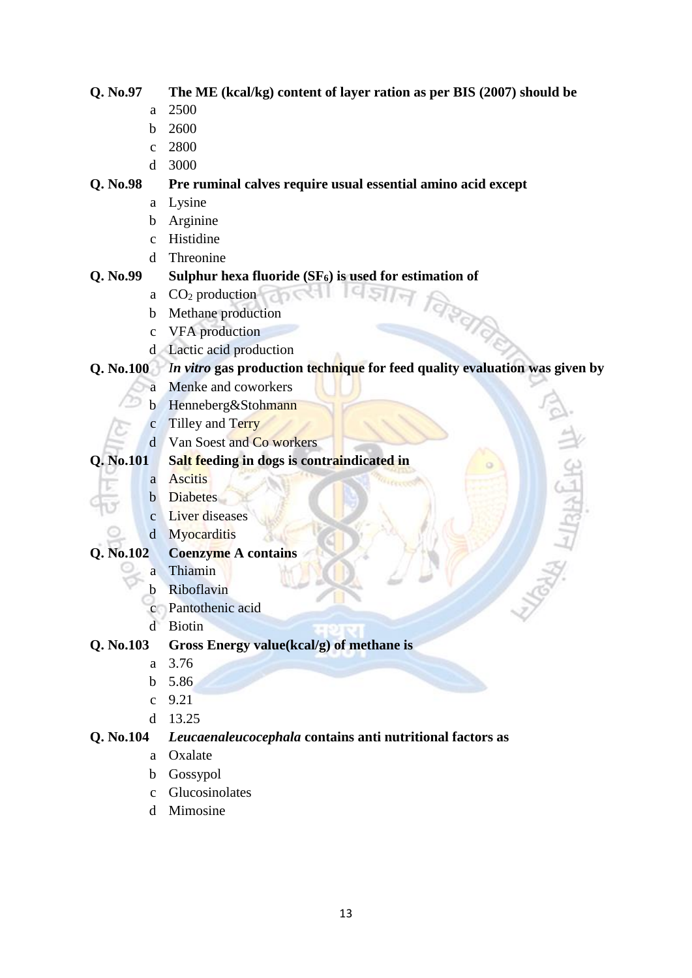# **Q. No.97 The ME (kcal/kg) content of layer ration as per BIS (2007) should be**

- a 2500
- b 2600
- c 2800
- d 3000

# **Q. No.98 Pre ruminal calves require usual essential amino acid except**

- a Lysine
- b Arginine
- c Histidine
- d Threonine

# **Q. No.99 Sulphur hexa fluoride (SF6) is used for estimation of**  । व ज्ञान

- a  $CO<sub>2</sub>$  production
- b Methane production
- c VFA production
- d Lactic acid production

# **Q. No.100** *In vitro* **gas production technique for feed quality evaluation was given by**

- a Menke and coworkers
- b Henneberg&Stohmann
- c Tilley and Terry
- d Van Soest and Co workers

# **Q. No.101 Salt feeding in dogs is contraindicated in**

- a Ascitis
- **b** Diabetes
- c Liver diseases
- d Myocarditis

# **Q. No.102 Coenzyme A contains**

- a Thiamin
- b Riboflavin
- c Pantothenic acid
- d Biotin

# **Q. No.103 Gross Energy value(kcal/g) of methane is**

- a 3.76
- b 5.86
- c 9.21
- d 13.25

# **Q. No.104** *Leucaenaleucocephala* **contains anti nutritional factors as**

- a Oxalate
- b Gossypol
- c Glucosinolates
- d Mimosine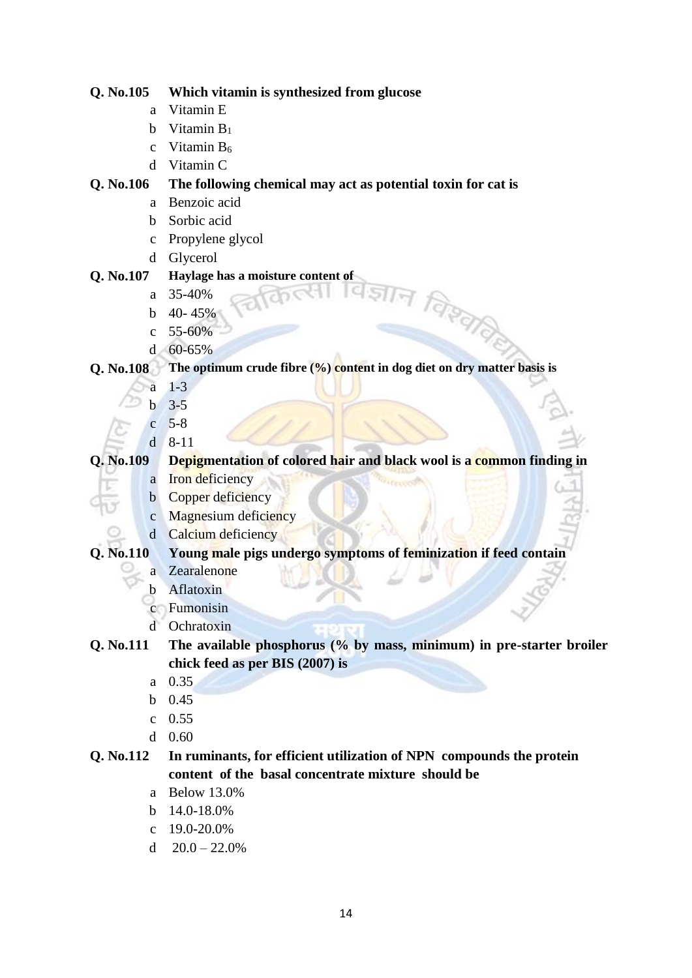| Q. No.105    | Which vitamin is synthesized from glucose                                 |  |  |  |  |  |
|--------------|---------------------------------------------------------------------------|--|--|--|--|--|
| a            | Vitamin E                                                                 |  |  |  |  |  |
| $\mathbf b$  | Vitamin $B_1$                                                             |  |  |  |  |  |
| $\mathbf C$  | Vitamin B <sub>6</sub>                                                    |  |  |  |  |  |
| d            | Vitamin C                                                                 |  |  |  |  |  |
| Q. No.106    | The following chemical may act as potential toxin for cat is              |  |  |  |  |  |
| a            | Benzoic acid                                                              |  |  |  |  |  |
| b            | Sorbic acid                                                               |  |  |  |  |  |
| $\mathbf C$  | Propylene glycol                                                          |  |  |  |  |  |
| $\mathbf d$  | Glycerol                                                                  |  |  |  |  |  |
| Q. No.107    | Haylage has a moisture content of                                         |  |  |  |  |  |
| a            | 35-40%                                                                    |  |  |  |  |  |
| b            | 40-45%                                                                    |  |  |  |  |  |
| $\mathbf{C}$ | चिरुताले<br>55-60%                                                        |  |  |  |  |  |
| $\mathbf d$  | 60-65%                                                                    |  |  |  |  |  |
| Q. No.108    | The optimum crude fibre $(\%)$ content in dog diet on dry matter basis is |  |  |  |  |  |
| а            | $1-3$                                                                     |  |  |  |  |  |
| b            | $3 - 5$                                                                   |  |  |  |  |  |
| $\mathbf{C}$ | $5 - 8$                                                                   |  |  |  |  |  |
| $\mathbf d$  | $8 - 11$                                                                  |  |  |  |  |  |
| Q. No.109    | Depigmentation of colored hair and black wool is a common finding in      |  |  |  |  |  |
| a            | Iron deficiency                                                           |  |  |  |  |  |
| $\mathbf b$  | Copper deficiency                                                         |  |  |  |  |  |
| $\mathbf{C}$ | Magnesium deficiency                                                      |  |  |  |  |  |
| $\mathbf d$  | Calcium deficiency                                                        |  |  |  |  |  |
| Q. No.110    | Young male pigs undergo symptoms of feminization if feed contain          |  |  |  |  |  |
| а            | Zearalenone                                                               |  |  |  |  |  |
| b            | Aflatoxin                                                                 |  |  |  |  |  |
|              | Fumonisin                                                                 |  |  |  |  |  |
| ď            | Ochratoxin                                                                |  |  |  |  |  |
| Q. No.111    | The available phosphorus (% by mass, minimum) in pre-starter broiler      |  |  |  |  |  |
|              | chick feed as per BIS (2007) is                                           |  |  |  |  |  |
| a            | 0.35                                                                      |  |  |  |  |  |
| $\mathbf b$  | 0.45                                                                      |  |  |  |  |  |
| $\mathbf{C}$ | 0.55                                                                      |  |  |  |  |  |
| d            | 0.60                                                                      |  |  |  |  |  |
| Q. No.112    | In ruminants, for efficient utilization of NPN compounds the protein      |  |  |  |  |  |
|              | content of the basal concentrate mixture should be                        |  |  |  |  |  |
| a            | <b>Below 13.0%</b>                                                        |  |  |  |  |  |
| b            | 14.0-18.0%                                                                |  |  |  |  |  |
| $\mathbf{C}$ | 19.0-20.0%                                                                |  |  |  |  |  |

d  $20.0 - 22.0%$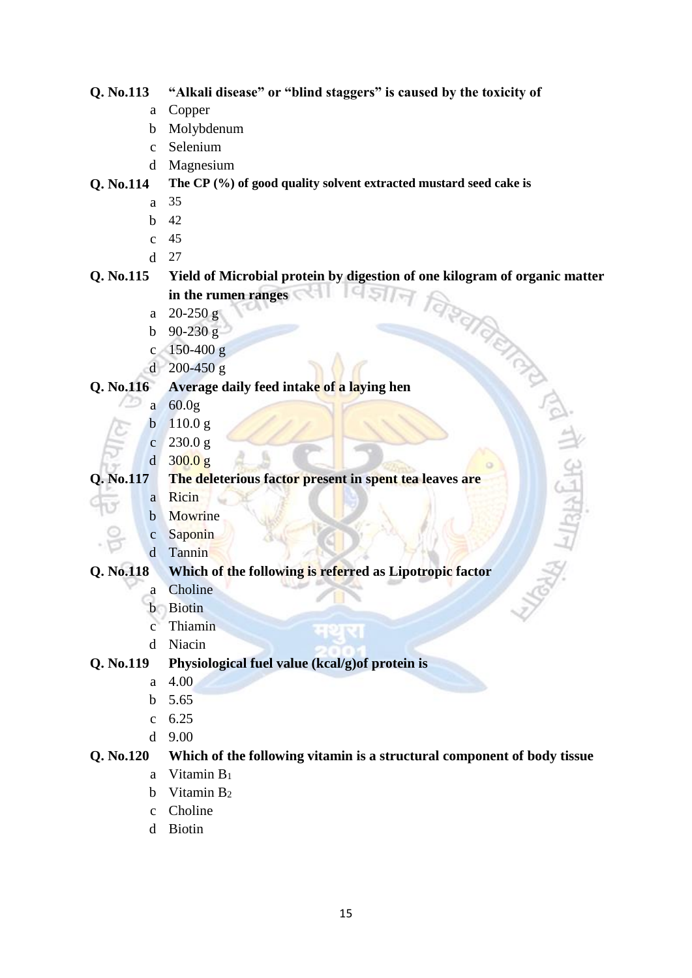# **Q. No.113 "Alkali disease" or "blind staggers" is caused by the toxicity of**

- a Copper
- b Molybdenum
- c Selenium
- d Magnesium

### **Q. No.114 The CP (%) of good quality solvent extracted mustard seed cake is**

- a 35
- b 42
- c 45
- d 27

# **Q. No.115 Yield of Microbial protein by digestion of one kilogram of organic matter** in the rumen ranges  $a = 20-250 g$ **in the rumen ranges**

तो अनुसंधाः

- a 20-250 g
- b  $90-230 g$
- c  $150-400 g$
- d 200-450 g

### **Q. No.116 Average daily feed intake of a laying hen**

- a 60.0g
- b 110.0 g
- c  $230.0 g$
- d 300.0 g

# **Q. No.117 The deleterious factor present in spent tea leaves are**

- a Ricin
- b Mowrine
- c Saponin
- d Tannin

### **Q. No.118 Which of the following is referred as Lipotropic factor**

- a Choline
- b Biotin
- c Thiamin
- d Niacin

# **Q. No.119 Physiological fuel value (kcal/g)of protein is**

- a 4.00
- b 5.65
- c 6.25
- d 9.00

# **Q. No.120 Which of the following vitamin is a structural component of body tissue**

- a Vitamin B<sup>1</sup>
- b Vitamin  $B_2$
- c Choline
- d Biotin